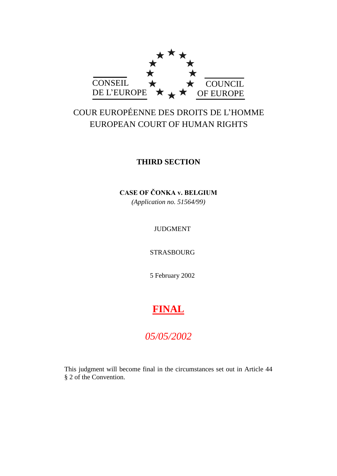

# COUR EUROPÉENNE DES DROITS DE L'HOMME EUROPEAN COURT OF HUMAN RIGHTS

## **THIRD SECTION**

**CASE OF ČONKA v. BELGIUM** *(Application no. 51564/99)*

## JUDGMENT

STRASBOURG

5 February 2002

# **FINAL**

## *05/05/2002*

This judgment will become final in the circumstances set out in Article 44 § 2 of the Convention.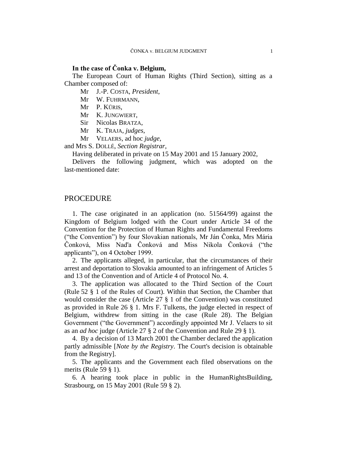## **In the case of Čonka v. Belgium,**

The European Court of Human Rights (Third Section), sitting as a Chamber composed of:

Mr J.-P. COSTA, *President*,

Mr W. FUHRMANN,

Mr P. KŪRIS,

Mr K. JUNGWIERT,

Sir Nicolas BRATZA,

Mr K. TRAJA, *judges*,

Mr VELAERS, ad hoc *judge*,

and Mrs S. DOLLÉ, *Section Registrar*,

Having deliberated in private on 15 May 2001 and 15 January 2002,

Delivers the following judgment, which was adopted on the last-mentioned date:

## PROCEDURE

1. The case originated in an application (no. 51564/99) against the Kingdom of Belgium lodged with the Court under Article 34 of the Convention for the Protection of Human Rights and Fundamental Freedoms ("the Convention") by four Slovakian nationals, Mr Ján Čonka, Mrs Mária Čonková, Miss Nad'a Čonková and Miss Nikola Čonková ("the applicants"), on 4 October 1999.

2. The applicants alleged, in particular, that the circumstances of their arrest and deportation to Slovakia amounted to an infringement of Articles 5 and 13 of the Convention and of Article 4 of Protocol No. 4.

3. The application was allocated to the Third Section of the Court (Rule 52 § 1 of the Rules of Court). Within that Section, the Chamber that would consider the case (Article 27 § 1 of the Convention) was constituted as provided in Rule 26 § 1. Mrs F. Tulkens, the judge elected in respect of Belgium, withdrew from sitting in the case (Rule 28). The Belgian Government ("the Government") accordingly appointed Mr J. Velaers to sit as an *ad hoc* judge (Article 27 § 2 of the Convention and Rule 29 § 1).

4. By a decision of 13 March 2001 the Chamber declared the application partly admissible [*Note by the Registry*. The Court's decision is obtainable from the Registry].

5. The applicants and the Government each filed observations on the merits (Rule 59 § 1).

6. A hearing took place in public in the HumanRightsBuilding, Strasbourg, on 15 May 2001 (Rule 59 § 2).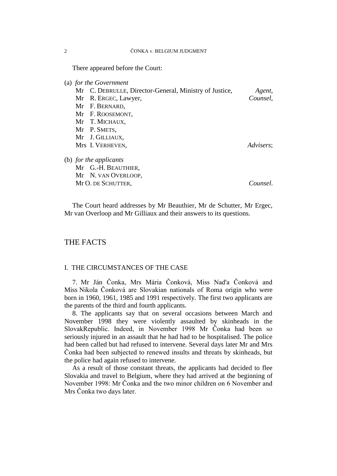There appeared before the Court:

| (a) for the Government                                 |           |
|--------------------------------------------------------|-----------|
| Mr C. DEBRULLE, Director-General, Ministry of Justice, | Agent,    |
| Mr R. ERGEC, Lawyer,                                   | Counsel,  |
| Mr F. BERNARD,                                         |           |
| Mr F. ROOSEMONT,                                       |           |
| Mr T. MICHAUX,                                         |           |
| Mr P. SMETS,                                           |           |
| Mr J. GILLIAUX,                                        |           |
| Mrs I. VERHEVEN,                                       | Advisers; |
| (b) for the applicants                                 |           |
| Mr G.-H. BEAUTHIER,                                    |           |
| Mr N. VAN OVERLOOP,                                    |           |
| Mr O. DE SCHUTTER.                                     | Counsel.  |
|                                                        |           |

The Court heard addresses by Mr Beauthier, Mr de Schutter, Mr Ergec, Mr van Overloop and Mr Gilliaux and their answers to its questions.

## THE FACTS

## I. THE CIRCUMSTANCES OF THE CASE

7. Mr Ján Čonka, Mrs Mária Čonková, Miss Nad'a Čonková and Miss Nikola Čonková are Slovakian nationals of Roma origin who were born in 1960, 1961, 1985 and 1991 respectively. The first two applicants are the parents of the third and fourth applicants.

8. The applicants say that on several occasions between March and November 1998 they were violently assaulted by skinheads in the SlovakRepublic. Indeed, in November 1998 Mr Čonka had been so seriously injured in an assault that he had had to be hospitalised. The police had been called but had refused to intervene. Several days later Mr and Mrs Čonka had been subjected to renewed insults and threats by skinheads, but the police had again refused to intervene.

As a result of those constant threats, the applicants had decided to flee Slovakia and travel to Belgium, where they had arrived at the beginning of November 1998: Mr Čonka and the two minor children on 6 November and Mrs Čonka two days later.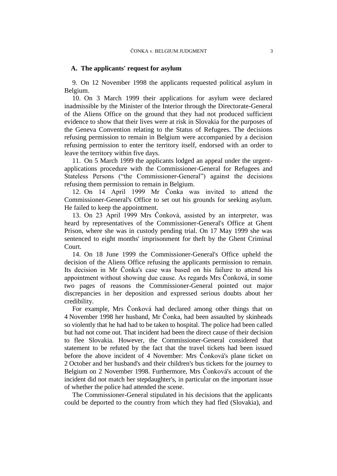## **A. The applicants' request for asylum**

9. On 12 November 1998 the applicants requested political asylum in Belgium.

10. On 3 March 1999 their applications for asylum were declared inadmissible by the Minister of the Interior through the Directorate-General of the Aliens Office on the ground that they had not produced sufficient evidence to show that their lives were at risk in Slovakia for the purposes of the Geneva Convention relating to the Status of Refugees. The decisions refusing permission to remain in Belgium were accompanied by a decision refusing permission to enter the territory itself, endorsed with an order to leave the territory within five days.

11. On 5 March 1999 the applicants lodged an appeal under the urgentapplications procedure with the Commissioner-General for Refugees and Stateless Persons ("the Commissioner-General") against the decisions refusing them permission to remain in Belgium.

12. On 14 April 1999 Mr Čonka was invited to attend the Commissioner-General's Office to set out his grounds for seeking asylum. He failed to keep the appointment.

13. On 23 April 1999 Mrs Čonková, assisted by an interpreter, was heard by representatives of the Commissioner-General's Office at Ghent Prison, where she was in custody pending trial. On 17 May 1999 she was sentenced to eight months' imprisonment for theft by the Ghent Criminal Court.

14. On 18 June 1999 the Commissioner-General's Office upheld the decision of the Aliens Office refusing the applicants permission to remain. Its decision in Mr Čonka's case was based on his failure to attend his appointment without showing due cause. As regards Mrs Čonková, in some two pages of reasons the Commissioner-General pointed out major discrepancies in her deposition and expressed serious doubts about her credibility.

For example, Mrs Čonková had declared among other things that on 4 November 1998 her husband, Mr Čonka, had been assaulted by skinheads so violently that he had had to be taken to hospital. The police had been called but had not come out. That incident had been the direct cause of their decision to flee Slovakia. However, the Commissioner-General considered that statement to be refuted by the fact that the travel tickets had been issued before the above incident of 4 November: Mrs Čonková's plane ticket on 2 October and her husband's and their children's bus tickets for the journey to Belgium on 2 November 1998. Furthermore, Mrs Čonková's account of the incident did not match her stepdaughter's, in particular on the important issue of whether the police had attended the scene.

The Commissioner-General stipulated in his decisions that the applicants could be deported to the country from which they had fled (Slovakia), and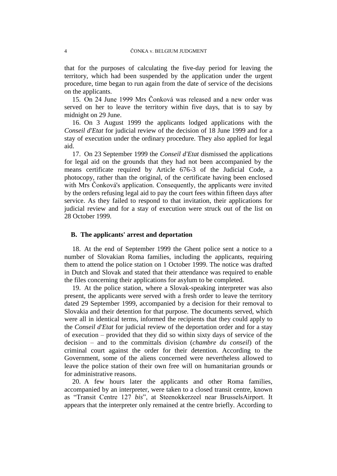that for the purposes of calculating the five-day period for leaving the territory, which had been suspended by the application under the urgent procedure, time began to run again from the date of service of the decisions on the applicants.

15. On 24 June 1999 Mrs Čonková was released and a new order was served on her to leave the territory within five days, that is to say by midnight on 29 June.

16. On 3 August 1999 the applicants lodged applications with the *Conseil d'Etat* for judicial review of the decision of 18 June 1999 and for a stay of execution under the ordinary procedure. They also applied for legal aid.

17. On 23 September 1999 the *Conseil d'Etat* dismissed the applications for legal aid on the grounds that they had not been accompanied by the means certificate required by Article 676-3 of the Judicial Code, a photocopy, rather than the original, of the certificate having been enclosed with Mrs Čonková's application. Consequently, the applicants were invited by the orders refusing legal aid to pay the court fees within fifteen days after service. As they failed to respond to that invitation, their applications for judicial review and for a stay of execution were struck out of the list on 28 October 1999.

#### **B. The applicants' arrest and deportation**

18. At the end of September 1999 the Ghent police sent a notice to a number of Slovakian Roma families, including the applicants, requiring them to attend the police station on 1 October 1999. The notice was drafted in Dutch and Slovak and stated that their attendance was required to enable the files concerning their applications for asylum to be completed.

19. At the police station, where a Slovak-speaking interpreter was also present, the applicants were served with a fresh order to leave the territory dated 29 September 1999, accompanied by a decision for their removal to Slovakia and their detention for that purpose. The documents served, which were all in identical terms, informed the recipients that they could apply to the *Conseil d'Etat* for judicial review of the deportation order and for a stay of execution – provided that they did so within sixty days of service of the decision – and to the committals division (*chambre du conseil*) of the criminal court against the order for their detention. According to the Government, some of the aliens concerned were nevertheless allowed to leave the police station of their own free will on humanitarian grounds or for administrative reasons.

20. A few hours later the applicants and other Roma families, accompanied by an interpreter, were taken to a closed transit centre, known as "Transit Centre 127 *bis*", at Steenokkerzeel near BrusselsAirport. It appears that the interpreter only remained at the centre briefly. According to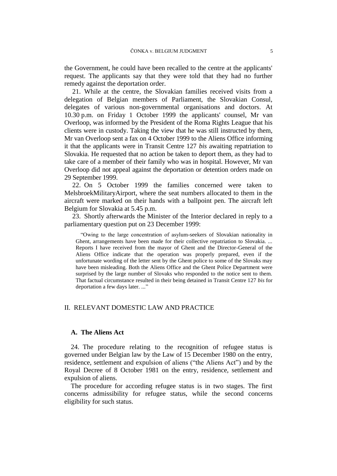the Government, he could have been recalled to the centre at the applicants' request. The applicants say that they were told that they had no further remedy against the deportation order.

21. While at the centre, the Slovakian families received visits from a delegation of Belgian members of Parliament, the Slovakian Consul, delegates of various non-governmental organisations and doctors. At 10.30 p.m. on Friday 1 October 1999 the applicants' counsel, Mr van Overloop, was informed by the President of the Roma Rights League that his clients were in custody. Taking the view that he was still instructed by them, Mr van Overloop sent a fax on 4 October 1999 to the Aliens Office informing it that the applicants were in Transit Centre 127 *bis* awaiting repatriation to Slovakia. He requested that no action be taken to deport them, as they had to take care of a member of their family who was in hospital. However, Mr van Overloop did not appeal against the deportation or detention orders made on 29 September 1999.

22. On 5 October 1999 the families concerned were taken to MelsbroekMilitaryAirport, where the seat numbers allocated to them in the aircraft were marked on their hands with a ballpoint pen. The aircraft left Belgium for Slovakia at 5.45 p.m.

23. Shortly afterwards the Minister of the Interior declared in reply to a parliamentary question put on 23 December 1999:

"Owing to the large concentration of asylum-seekers of Slovakian nationality in Ghent, arrangements have been made for their collective repatriation to Slovakia. ... Reports I have received from the mayor of Ghent and the Director-General of the Aliens Office indicate that the operation was properly prepared, even if the unfortunate wording of the letter sent by the Ghent police to some of the Slovaks may have been misleading. Both the Aliens Office and the Ghent Police Department were surprised by the large number of Slovaks who responded to the notice sent to them. That factual circumstance resulted in their being detained in Transit Centre 127 *bis* for deportation a few days later. ..."

## II. RELEVANT DOMESTIC LAW AND PRACTICE

## **A. The Aliens Act**

24. The procedure relating to the recognition of refugee status is governed under Belgian law by the Law of 15 December 1980 on the entry, residence, settlement and expulsion of aliens ("the Aliens Act") and by the Royal Decree of 8 October 1981 on the entry, residence, settlement and expulsion of aliens.

The procedure for according refugee status is in two stages. The first concerns admissibility for refugee status, while the second concerns eligibility for such status.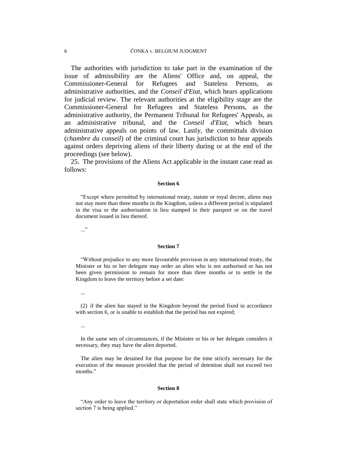The authorities with jurisdiction to take part in the examination of the issue of admissibility are the Aliens' Office and, on appeal, the Commissioner-General for Refugees and Stateless Persons, administrative authorities, and the *Conseil d'Etat*, which hears applications for judicial review. The relevant authorities at the eligibility stage are the Commissioner-General for Refugees and Stateless Persons, as the administrative authority, the Permanent Tribunal for Refugees' Appeals, as an administrative tribunal, and the *Conseil d'Etat*, which hears administrative appeals on points of law. Lastly, the committals division (*chambre du conseil*) of the criminal court has jurisdiction to hear appeals against orders depriving aliens of their liberty during or at the end of the proceedings (see below).

25. The provisions of the Aliens Act applicable in the instant case read as follows:

#### **Section 6**

"Except where permitted by international treaty, statute or royal decree, aliens may not stay more than three months in the Kingdom, unless a different period is stipulated in the visa or the authorisation in lieu stamped in their passport or on the travel document issued in lieu thereof.

..."

#### **Section 7**

"Without prejudice to any more favourable provision in any international treaty, the Minister or his or her delegate may order an alien who is not authorised or has not been given permission to remain for more than three months or to settle in the Kingdom to leave the territory before a set date:

...

(2) if the alien has stayed in the Kingdom beyond the period fixed in accordance with section 6, or is unable to establish that the period has not expired;

...

In the same sets of circumstances, if the Minister or his or her delegate considers it necessary, they may have the alien deported.

The alien may be detained for that purpose for the time strictly necessary for the execution of the measure provided that the period of detention shall not exceed two months."

#### **Section 8**

"Any order to leave the territory or deportation order shall state which provision of section 7 is being applied."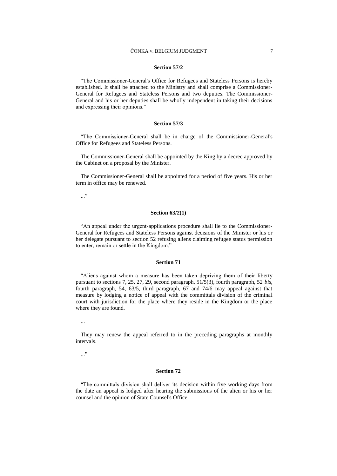#### **Section 57/2**

"The Commissioner-General's Office for Refugees and Stateless Persons is hereby established. It shall be attached to the Ministry and shall comprise a Commissioner-General for Refugees and Stateless Persons and two deputies. The Commissioner-General and his or her deputies shall be wholly independent in taking their decisions and expressing their opinions."

#### **Section 57/3**

"The Commissioner-General shall be in charge of the Commissioner-General's Office for Refugees and Stateless Persons.

The Commissioner-General shall be appointed by the King by a decree approved by the Cabinet on a proposal by the Minister.

The Commissioner-General shall be appointed for a period of five years. His or her term in office may be renewed.

..."

#### **Section 63/2(1)**

"An appeal under the urgent-applications procedure shall lie to the Commissioner-General for Refugees and Stateless Persons against decisions of the Minister or his or her delegate pursuant to section 52 refusing aliens claiming refugee status permission to enter, remain or settle in the Kingdom."

## **Section 71**

"Aliens against whom a measure has been taken depriving them of their liberty pursuant to sections 7, 25, 27, 29, second paragraph, 51/5(3), fourth paragraph, 52 *bis*, fourth paragraph, 54, 63/5, third paragraph, 67 and 74/6 may appeal against that measure by lodging a notice of appeal with the committals division of the criminal court with jurisdiction for the place where they reside in the Kingdom or the place where they are found.

...

They may renew the appeal referred to in the preceding paragraphs at monthly intervals.

..."

#### **Section 72**

"The committals division shall deliver its decision within five working days from the date an appeal is lodged after hearing the submissions of the alien or his or her counsel and the opinion of State Counsel's Office.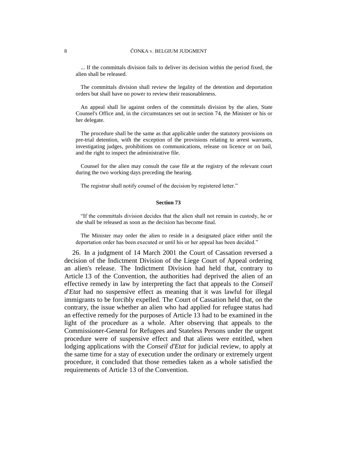#### 8 ČONKA v. BELGIUM JUDGMENT

... If the committals division fails to deliver its decision within the period fixed, the alien shall be released.

The committals division shall review the legality of the detention and deportation orders but shall have no power to review their reasonableness.

An appeal shall lie against orders of the committals division by the alien, State Counsel's Office and, in the circumstances set out in section 74, the Minister or his or her delegate.

The procedure shall be the same as that applicable under the statutory provisions on pre-trial detention, with the exception of the provisions relating to arrest warrants, investigating judges, prohibitions on communications, release on licence or on bail, and the right to inspect the administrative file.

Counsel for the alien may consult the case file at the registry of the relevant court during the two working days preceding the hearing.

The registrar shall notify counsel of the decision by registered letter."

#### **Section 73**

"If the committals division decides that the alien shall not remain in custody, he or she shall be released as soon as the decision has become final.

The Minister may order the alien to reside in a designated place either until the deportation order has been executed or until his or her appeal has been decided."

26. In a judgment of 14 March 2001 the Court of Cassation reversed a decision of the Indictment Division of the Liege Court of Appeal ordering an alien's release. The Indictment Division had held that, contrary to Article 13 of the Convention, the authorities had deprived the alien of an effective remedy in law by interpreting the fact that appeals to the *Conseil d'Etat* had no suspensive effect as meaning that it was lawful for illegal immigrants to be forcibly expelled. The Court of Cassation held that, on the contrary, the issue whether an alien who had applied for refugee status had an effective remedy for the purposes of Article 13 had to be examined in the light of the procedure as a whole. After observing that appeals to the Commissioner-General for Refugees and Stateless Persons under the urgent procedure were of suspensive effect and that aliens were entitled, when lodging applications with the *Conseil d'Etat* for judicial review, to apply at the same time for a stay of execution under the ordinary or extremely urgent procedure, it concluded that those remedies taken as a whole satisfied the requirements of Article 13 of the Convention.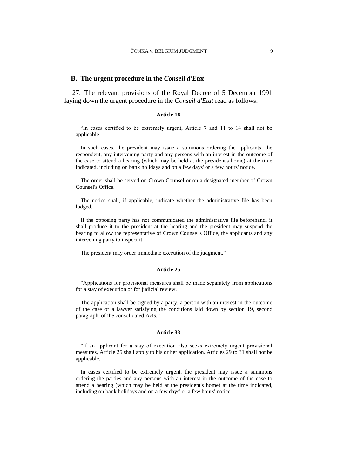## **B. The urgent procedure in the** *Conseil d'Etat*

27. The relevant provisions of the Royal Decree of 5 December 1991 laying down the urgent procedure in the *Conseil d'Etat* read as follows:

## **Article 16**

"In cases certified to be extremely urgent, Article 7 and 11 to 14 shall not be applicable.

In such cases, the president may issue a summons ordering the applicants, the respondent, any intervening party and any persons with an interest in the outcome of the case to attend a hearing (which may be held at the president's home) at the time indicated, including on bank holidays and on a few days' or a few hours' notice.

The order shall be served on Crown Counsel or on a designated member of Crown Counsel's Office.

The notice shall, if applicable, indicate whether the administrative file has been lodged.

If the opposing party has not communicated the administrative file beforehand, it shall produce it to the president at the hearing and the president may suspend the hearing to allow the representative of Crown Counsel's Office, the applicants and any intervening party to inspect it.

The president may order immediate execution of the judgment."

#### **Article 25**

"Applications for provisional measures shall be made separately from applications for a stay of execution or for judicial review.

The application shall be signed by a party, a person with an interest in the outcome of the case or a lawyer satisfying the conditions laid down by section 19, second paragraph, of the consolidated Acts."

#### **Article 33**

"If an applicant for a stay of execution also seeks extremely urgent provisional measures, Article 25 shall apply to his or her application. Articles 29 to 31 shall not be applicable.

In cases certified to be extremely urgent, the president may issue a summons ordering the parties and any persons with an interest in the outcome of the case to attend a hearing (which may be held at the president's home) at the time indicated, including on bank holidays and on a few days' or a few hours' notice.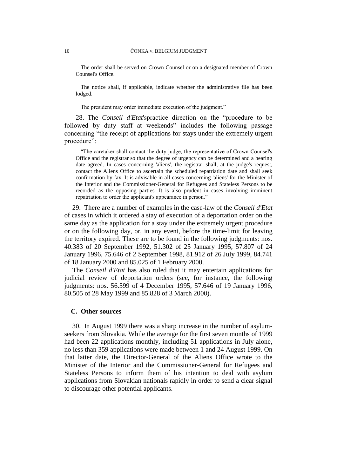The order shall be served on Crown Counsel or on a designated member of Crown Counsel's Office.

The notice shall, if applicable, indicate whether the administrative file has been lodged.

The president may order immediate execution of the judgment."

28. The *Conseil d'Etat*'spractice direction on the "procedure to be followed by duty staff at weekends" includes the following passage concerning "the receipt of applications for stays under the extremely urgent procedure":

"The caretaker shall contact the duty judge, the representative of Crown Counsel's Office and the registrar so that the degree of urgency can be determined and a hearing date agreed. In cases concerning 'aliens', the registrar shall, at the judge's request, contact the Aliens Office to ascertain the scheduled repatriation date and shall seek confirmation by fax. It is advisable in all cases concerning 'aliens' for the Minister of the Interior and the Commissioner-General for Refugees and Stateless Persons to be recorded as the opposing parties. It is also prudent in cases involving imminent repatriation to order the applicant's appearance in person."

29. There are a number of examples in the case-law of the *Conseil d'Etat*  of cases in which it ordered a stay of execution of a deportation order on the same day as the application for a stay under the extremely urgent procedure or on the following day, or, in any event, before the time-limit for leaving the territory expired. These are to be found in the following judgments: nos. 40.383 of 20 September 1992, 51.302 of 25 January 1995, 57.807 of 24 January 1996, 75.646 of 2 September 1998, 81.912 of 26 July 1999, 84.741 of 18 January 2000 and 85.025 of 1 February 2000.

The *Conseil d'Etat* has also ruled that it may entertain applications for judicial review of deportation orders (see, for instance, the following judgments: nos. 56.599 of 4 December 1995, 57.646 of 19 January 1996, 80.505 of 28 May 1999 and 85.828 of 3 March 2000).

## **C. Other sources**

30. In August 1999 there was a sharp increase in the number of asylumseekers from Slovakia. While the average for the first seven months of 1999 had been 22 applications monthly, including 51 applications in July alone, no less than 359 applications were made between 1 and 24 August 1999. On that latter date, the Director-General of the Aliens Office wrote to the Minister of the Interior and the Commissioner-General for Refugees and Stateless Persons to inform them of his intention to deal with asylum applications from Slovakian nationals rapidly in order to send a clear signal to discourage other potential applicants.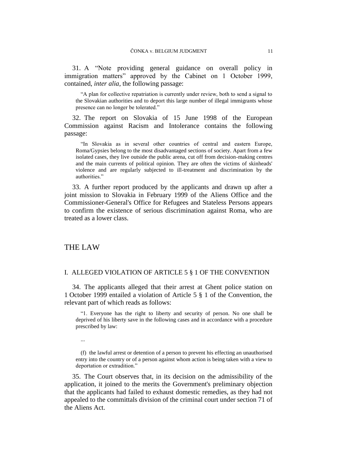31. A "Note providing general guidance on overall policy in immigration matters" approved by the Cabinet on 1 October 1999, contained, *inter alia*, the following passage:

"A plan for collective repatriation is currently under review, both to send a signal to the Slovakian authorities and to deport this large number of illegal immigrants whose presence can no longer be tolerated."

32. The report on Slovakia of 15 June 1998 of the European Commission against Racism and Intolerance contains the following passage:

"In Slovakia as in several other countries of central and eastern Europe, Roma/Gypsies belong to the most disadvantaged sections of society. Apart from a few isolated cases, they live outside the public arena, cut off from decision-making centres and the main currents of political opinion. They are often the victims of skinheads' violence and are regularly subjected to ill-treatment and discrimination by the authorities."

33. A further report produced by the applicants and drawn up after a joint mission to Slovakia in February 1999 of the Aliens Office and the Commissioner-General's Office for Refugees and Stateless Persons appears to confirm the existence of serious discrimination against Roma, who are treated as a lower class.

## THE LAW

## I. ALLEGED VIOLATION OF ARTICLE 5 § 1 OF THE CONVENTION

34. The applicants alleged that their arrest at Ghent police station on 1 October 1999 entailed a violation of Article 5 § 1 of the Convention, the relevant part of which reads as follows:

"1. Everyone has the right to liberty and security of person. No one shall be deprived of his liberty save in the following cases and in accordance with a procedure prescribed by law:

...

(f) the lawful arrest or detention of a person to prevent his effecting an unauthorised entry into the country or of a person against whom action is being taken with a view to deportation or extradition."

35. The Court observes that, in its decision on the admissibility of the application, it joined to the merits the Government's preliminary objection that the applicants had failed to exhaust domestic remedies, as they had not appealed to the committals division of the criminal court under section 71 of the Aliens Act.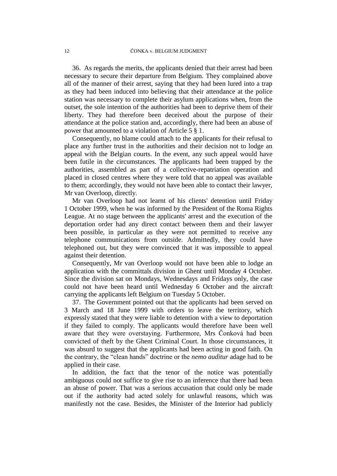36. As regards the merits, the applicants denied that their arrest had been necessary to secure their departure from Belgium. They complained above all of the manner of their arrest, saying that they had been lured into a trap as they had been induced into believing that their attendance at the police station was necessary to complete their asylum applications when, from the outset, the sole intention of the authorities had been to deprive them of their liberty. They had therefore been deceived about the purpose of their attendance at the police station and, accordingly, there had been an abuse of power that amounted to a violation of Article 5 § 1.

Consequently, no blame could attach to the applicants for their refusal to place any further trust in the authorities and their decision not to lodge an appeal with the Belgian courts. In the event, any such appeal would have been futile in the circumstances. The applicants had been trapped by the authorities, assembled as part of a collective-repatriation operation and placed in closed centres where they were told that no appeal was available to them; accordingly, they would not have been able to contact their lawyer, Mr van Overloop, directly.

Mr van Overloop had not learnt of his clients' detention until Friday 1 October 1999, when he was informed by the President of the Roma Rights League. At no stage between the applicants' arrest and the execution of the deportation order had any direct contact between them and their lawyer been possible, in particular as they were not permitted to receive any telephone communications from outside. Admittedly, they could have telephoned out, but they were convinced that it was impossible to appeal against their detention.

Consequently, Mr van Overloop would not have been able to lodge an application with the committals division in Ghent until Monday 4 October. Since the division sat on Mondays, Wednesdays and Fridays only, the case could not have been heard until Wednesday 6 October and the aircraft carrying the applicants left Belgium on Tuesday 5 October.

37. The Government pointed out that the applicants had been served on 3 March and 18 June 1999 with orders to leave the territory, which expressly stated that they were liable to detention with a view to deportation if they failed to comply. The applicants would therefore have been well aware that they were overstaying. Furthermore, Mrs Čonková had been convicted of theft by the Ghent Criminal Court. In those circumstances, it was absurd to suggest that the applicants had been acting in good faith. On the contrary, the "clean hands" doctrine or the *nemo auditur* adage had to be applied in their case.

In addition, the fact that the tenor of the notice was potentially ambiguous could not suffice to give rise to an inference that there had been an abuse of power. That was a serious accusation that could only be made out if the authority had acted solely for unlawful reasons, which was manifestly not the case. Besides, the Minister of the Interior had publicly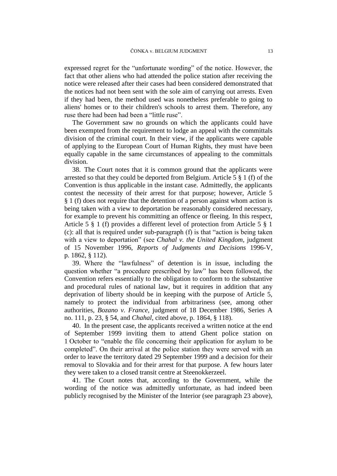expressed regret for the "unfortunate wording" of the notice. However, the fact that other aliens who had attended the police station after receiving the notice were released after their cases had been considered demonstrated that the notices had not been sent with the sole aim of carrying out arrests. Even if they had been, the method used was nonetheless preferable to going to aliens' homes or to their children's schools to arrest them. Therefore, any ruse there had been had been a "little ruse".

The Government saw no grounds on which the applicants could have been exempted from the requirement to lodge an appeal with the committals division of the criminal court. In their view, if the applicants were capable of applying to the European Court of Human Rights, they must have been equally capable in the same circumstances of appealing to the committals division.

38. The Court notes that it is common ground that the applicants were arrested so that they could be deported from Belgium. Article 5 § 1 (f) of the Convention is thus applicable in the instant case. Admittedly, the applicants contest the necessity of their arrest for that purpose; however, Article 5 § 1 (f) does not require that the detention of a person against whom action is being taken with a view to deportation be reasonably considered necessary, for example to prevent his committing an offence or fleeing. In this respect, Article 5 § 1 (f) provides a different level of protection from Article 5 § 1 (c): all that is required under sub-paragraph (f) is that "action is being taken with a view to deportation" (see *Chahal v. the United Kingdom*, judgment of 15 November 1996, *Reports of Judgments and Decisions* 1996-V, p. 1862, § 112).

39. Where the "lawfulness" of detention is in issue, including the question whether "a procedure prescribed by law" has been followed, the Convention refers essentially to the obligation to conform to the substantive and procedural rules of national law, but it requires in addition that any deprivation of liberty should be in keeping with the purpose of Article 5, namely to protect the individual from arbitrariness (see, among other authorities, *Bozano v. France*, judgment of 18 December 1986, Series A no. 111, p. 23, § 54, and *Chahal*, cited above, p. 1864, § 118).

40. In the present case, the applicants received a written notice at the end of September 1999 inviting them to attend Ghent police station on 1 October to "enable the file concerning their application for asylum to be completed". On their arrival at the police station they were served with an order to leave the territory dated 29 September 1999 and a decision for their removal to Slovakia and for their arrest for that purpose. A few hours later they were taken to a closed transit centre at Steenokkerzeel.

41. The Court notes that, according to the Government, while the wording of the notice was admittedly unfortunate, as had indeed been publicly recognised by the Minister of the Interior (see paragraph 23 above),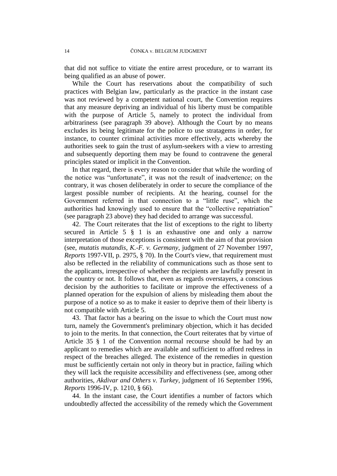that did not suffice to vitiate the entire arrest procedure, or to warrant its being qualified as an abuse of power.

While the Court has reservations about the compatibility of such practices with Belgian law, particularly as the practice in the instant case was not reviewed by a competent national court, the Convention requires that any measure depriving an individual of his liberty must be compatible with the purpose of Article 5, namely to protect the individual from arbitrariness (see paragraph 39 above). Although the Court by no means excludes its being legitimate for the police to use stratagems in order, for instance, to counter criminal activities more effectively, acts whereby the authorities seek to gain the trust of asylum-seekers with a view to arresting and subsequently deporting them may be found to contravene the general principles stated or implicit in the Convention.

In that regard, there is every reason to consider that while the wording of the notice was "unfortunate", it was not the result of inadvertence; on the contrary, it was chosen deliberately in order to secure the compliance of the largest possible number of recipients. At the hearing, counsel for the Government referred in that connection to a "little ruse", which the authorities had knowingly used to ensure that the "collective repatriation" (see paragraph 23 above) they had decided to arrange was successful.

42. The Court reiterates that the list of exceptions to the right to liberty secured in Article 5 § 1 is an exhaustive one and only a narrow interpretation of those exceptions is consistent with the aim of that provision (see, *mutatis mutandis*, *K.-F. v. Germany*, judgment of 27 November 1997, *Reports* 1997-VII, p. 2975, § 70). In the Court's view, that requirement must also be reflected in the reliability of communications such as those sent to the applicants, irrespective of whether the recipients are lawfully present in the country or not. It follows that, even as regards overstayers, a conscious decision by the authorities to facilitate or improve the effectiveness of a planned operation for the expulsion of aliens by misleading them about the purpose of a notice so as to make it easier to deprive them of their liberty is not compatible with Article 5.

43. That factor has a bearing on the issue to which the Court must now turn, namely the Government's preliminary objection, which it has decided to join to the merits. In that connection, the Court reiterates that by virtue of Article 35 § 1 of the Convention normal recourse should be had by an applicant to remedies which are available and sufficient to afford redress in respect of the breaches alleged. The existence of the remedies in question must be sufficiently certain not only in theory but in practice, failing which they will lack the requisite accessibility and effectiveness (see, among other authorities, *Akdivar and Others v. Turkey*, judgment of 16 September 1996, *Reports* 1996-IV, p. 1210, § 66).

44. In the instant case, the Court identifies a number of factors which undoubtedly affected the accessibility of the remedy which the Government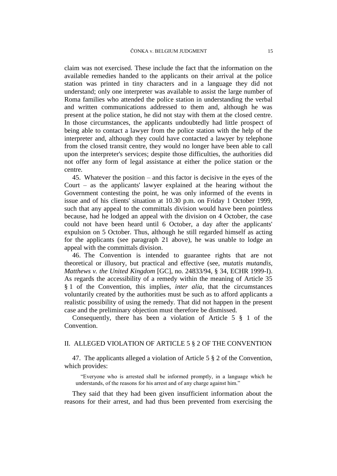claim was not exercised. These include the fact that the information on the available remedies handed to the applicants on their arrival at the police station was printed in tiny characters and in a language they did not understand; only one interpreter was available to assist the large number of Roma families who attended the police station in understanding the verbal and written communications addressed to them and, although he was present at the police station, he did not stay with them at the closed centre. In those circumstances, the applicants undoubtedly had little prospect of being able to contact a lawyer from the police station with the help of the interpreter and, although they could have contacted a lawyer by telephone from the closed transit centre, they would no longer have been able to call upon the interpreter's services; despite those difficulties, the authorities did not offer any form of legal assistance at either the police station or the centre.

45. Whatever the position – and this factor is decisive in the eyes of the Court – as the applicants' lawyer explained at the hearing without the Government contesting the point, he was only informed of the events in issue and of his clients' situation at 10.30 p.m. on Friday 1 October 1999, such that any appeal to the committals division would have been pointless because, had he lodged an appeal with the division on 4 October, the case could not have been heard until 6 October, a day after the applicants' expulsion on 5 October. Thus, although he still regarded himself as acting for the applicants (see paragraph 21 above), he was unable to lodge an appeal with the committals division.

46. The Convention is intended to guarantee rights that are not theoretical or illusory, but practical and effective (see, *mutatis mutandis*, *Matthews v. the United Kingdom* [GC], no. 24833/94, § 34, ECHR 1999-I). As regards the accessibility of a remedy within the meaning of Article 35 § 1 of the Convention, this implies, *inter alia*, that the circumstances voluntarily created by the authorities must be such as to afford applicants a realistic possibility of using the remedy. That did not happen in the present case and the preliminary objection must therefore be dismissed.

Consequently, there has been a violation of Article 5 § 1 of the Convention.

## II. ALLEGED VIOLATION OF ARTICLE 5 § 2 OF THE CONVENTION

47. The applicants alleged a violation of Article 5 § 2 of the Convention, which provides:

"Everyone who is arrested shall be informed promptly, in a language which he understands, of the reasons for his arrest and of any charge against him."

They said that they had been given insufficient information about the reasons for their arrest, and had thus been prevented from exercising the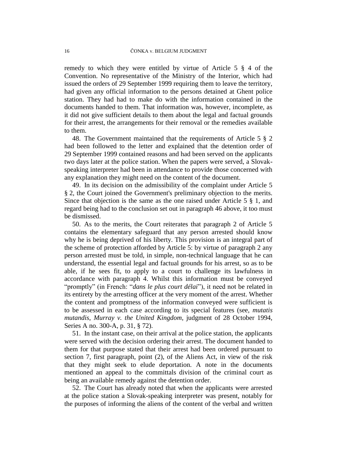remedy to which they were entitled by virtue of Article 5 § 4 of the Convention. No representative of the Ministry of the Interior, which had issued the orders of 29 September 1999 requiring them to leave the territory, had given any official information to the persons detained at Ghent police station. They had had to make do with the information contained in the documents handed to them. That information was, however, incomplete, as it did not give sufficient details to them about the legal and factual grounds for their arrest, the arrangements for their removal or the remedies available to them.

48. The Government maintained that the requirements of Article 5 § 2 had been followed to the letter and explained that the detention order of 29 September 1999 contained reasons and had been served on the applicants two days later at the police station. When the papers were served, a Slovakspeaking interpreter had been in attendance to provide those concerned with any explanation they might need on the content of the document.

49. In its decision on the admissibility of the complaint under Article 5 § 2, the Court joined the Government's preliminary objection to the merits. Since that objection is the same as the one raised under Article 5 § 1, and regard being had to the conclusion set out in paragraph 46 above, it too must be dismissed.

50. As to the merits, the Court reiterates that paragraph 2 of Article 5 contains the elementary safeguard that any person arrested should know why he is being deprived of his liberty. This provision is an integral part of the scheme of protection afforded by Article 5: by virtue of paragraph 2 any person arrested must be told, in simple, non-technical language that he can understand, the essential legal and factual grounds for his arrest, so as to be able, if he sees fit, to apply to a court to challenge its lawfulness in accordance with paragraph 4. Whilst this information must be conveyed "promptly" (in French: "*dans le plus court délai*"), it need not be related in its entirety by the arresting officer at the very moment of the arrest. Whether the content and promptness of the information conveyed were sufficient is to be assessed in each case according to its special features (see, *mutatis mutandis*, *Murray v. the United Kingdom*, judgment of 28 October 1994, Series A no. 300-A, p. 31, § 72).

51. In the instant case, on their arrival at the police station, the applicants were served with the decision ordering their arrest. The document handed to them for that purpose stated that their arrest had been ordered pursuant to section 7, first paragraph, point (2), of the Aliens Act, in view of the risk that they might seek to elude deportation. A note in the documents mentioned an appeal to the committals division of the criminal court as being an available remedy against the detention order.

52. The Court has already noted that when the applicants were arrested at the police station a Slovak-speaking interpreter was present, notably for the purposes of informing the aliens of the content of the verbal and written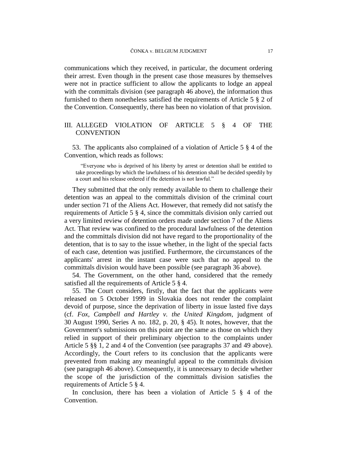communications which they received, in particular, the document ordering their arrest. Even though in the present case those measures by themselves were not in practice sufficient to allow the applicants to lodge an appeal with the committals division (see paragraph 46 above), the information thus furnished to them nonetheless satisfied the requirements of Article 5 § 2 of the Convention. Consequently, there has been no violation of that provision.

## III. ALLEGED VIOLATION OF ARTICLE 5 § 4 OF THE **CONVENTION**

53. The applicants also complained of a violation of Article 5 § 4 of the Convention, which reads as follows:

"Everyone who is deprived of his liberty by arrest or detention shall be entitled to take proceedings by which the lawfulness of his detention shall be decided speedily by a court and his release ordered if the detention is not lawful."

They submitted that the only remedy available to them to challenge their detention was an appeal to the committals division of the criminal court under section 71 of the Aliens Act. However, that remedy did not satisfy the requirements of Article 5 § 4, since the committals division only carried out a very limited review of detention orders made under section 7 of the Aliens Act. That review was confined to the procedural lawfulness of the detention and the committals division did not have regard to the proportionality of the detention, that is to say to the issue whether, in the light of the special facts of each case, detention was justified. Furthermore, the circumstances of the applicants' arrest in the instant case were such that no appeal to the committals division would have been possible (see paragraph 36 above).

54. The Government, on the other hand, considered that the remedy satisfied all the requirements of Article 5 § 4.

55. The Court considers, firstly, that the fact that the applicants were released on 5 October 1999 in Slovakia does not render the complaint devoid of purpose, since the deprivation of liberty in issue lasted five days (cf. *Fox, Campbell and Hartley v. the United Kingdom*, judgment of 30 August 1990, Series A no. 182, p. 20, § 45). It notes, however, that the Government's submissions on this point are the same as those on which they relied in support of their preliminary objection to the complaints under Article 5 §§ 1, 2 and 4 of the Convention (see paragraphs 37 and 49 above). Accordingly, the Court refers to its conclusion that the applicants were prevented from making any meaningful appeal to the committals division (see paragraph 46 above). Consequently, it is unnecessary to decide whether the scope of the jurisdiction of the committals division satisfies the requirements of Article 5 § 4.

In conclusion, there has been a violation of Article 5 § 4 of the **Convention**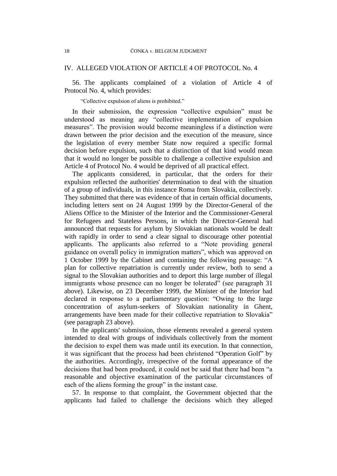## IV. ALLEGED VIOLATION OF ARTICLE 4 OF PROTOCOL No. 4

56. The applicants complained of a violation of Article 4 of Protocol No. 4, which provides:

"Collective expulsion of aliens is prohibited."

In their submission, the expression "collective expulsion" must be understood as meaning any "collective implementation of expulsion measures". The provision would become meaningless if a distinction were drawn between the prior decision and the execution of the measure, since the legislation of every member State now required a specific formal decision before expulsion, such that a distinction of that kind would mean that it would no longer be possible to challenge a collective expulsion and Article 4 of Protocol No. 4 would be deprived of all practical effect.

The applicants considered, in particular, that the orders for their expulsion reflected the authorities' determination to deal with the situation of a group of individuals, in this instance Roma from Slovakia, collectively. They submitted that there was evidence of that in certain official documents, including letters sent on 24 August 1999 by the Director-General of the Aliens Office to the Minister of the Interior and the Commissioner-General for Refugees and Stateless Persons, in which the Director-General had announced that requests for asylum by Slovakian nationals would be dealt with rapidly in order to send a clear signal to discourage other potential applicants. The applicants also referred to a "Note providing general guidance on overall policy in immigration matters", which was approved on 1 October 1999 by the Cabinet and containing the following passage: "A plan for collective repatriation is currently under review, both to send a signal to the Slovakian authorities and to deport this large number of illegal immigrants whose presence can no longer be tolerated" (see paragraph 31) above). Likewise, on 23 December 1999, the Minister of the Interior had declared in response to a parliamentary question: "Owing to the large concentration of asylum-seekers of Slovakian nationality in Ghent, arrangements have been made for their collective repatriation to Slovakia" (see paragraph 23 above).

In the applicants' submission, those elements revealed a general system intended to deal with groups of individuals collectively from the moment the decision to expel them was made until its execution. In that connection, it was significant that the process had been christened "Operation Golf" by the authorities. Accordingly, irrespective of the formal appearance of the decisions that had been produced, it could not be said that there had been "a reasonable and objective examination of the particular circumstances of each of the aliens forming the group" in the instant case.

57. In response to that complaint, the Government objected that the applicants had failed to challenge the decisions which they alleged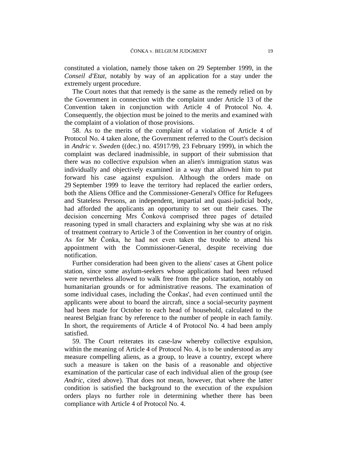constituted a violation, namely those taken on 29 September 1999, in the *Conseil d'Etat*, notably by way of an application for a stay under the extremely urgent procedure.

The Court notes that that remedy is the same as the remedy relied on by the Government in connection with the complaint under Article 13 of the Convention taken in conjunction with Article 4 of Protocol No. 4. Consequently, the objection must be joined to the merits and examined with the complaint of a violation of those provisions.

58. As to the merits of the complaint of a violation of Article 4 of Protocol No. 4 taken alone, the Government referred to the Court's decision in *Andric v. Sweden* ((dec.) no. 45917/99, 23 February 1999), in which the complaint was declared inadmissible, in support of their submission that there was no collective expulsion when an alien's immigration status was individually and objectively examined in a way that allowed him to put forward his case against expulsion. Although the orders made on 29 September 1999 to leave the territory had replaced the earlier orders, both the Aliens Office and the Commissioner-General's Office for Refugees and Stateless Persons, an independent, impartial and quasi-judicial body, had afforded the applicants an opportunity to set out their cases. The decision concerning Mrs Čonková comprised three pages of detailed reasoning typed in small characters and explaining why she was at no risk of treatment contrary to Article 3 of the Convention in her country of origin. As for Mr Čonka, he had not even taken the trouble to attend his appointment with the Commissioner-General, despite receiving due notification.

Further consideration had been given to the aliens' cases at Ghent police station, since some asylum-seekers whose applications had been refused were nevertheless allowed to walk free from the police station, notably on humanitarian grounds or for administrative reasons. The examination of some individual cases, including the Čonkas', had even continued until the applicants were about to board the aircraft, since a social-security payment had been made for October to each head of household, calculated to the nearest Belgian franc by reference to the number of people in each family. In short, the requirements of Article 4 of Protocol No. 4 had been amply satisfied.

59. The Court reiterates its case-law whereby collective expulsion, within the meaning of Article 4 of Protocol No. 4, is to be understood as any measure compelling aliens, as a group, to leave a country, except where such a measure is taken on the basis of a reasonable and objective examination of the particular case of each individual alien of the group (see *Andric*, cited above). That does not mean, however, that where the latter condition is satisfied the background to the execution of the expulsion orders plays no further role in determining whether there has been compliance with Article 4 of Protocol No. 4.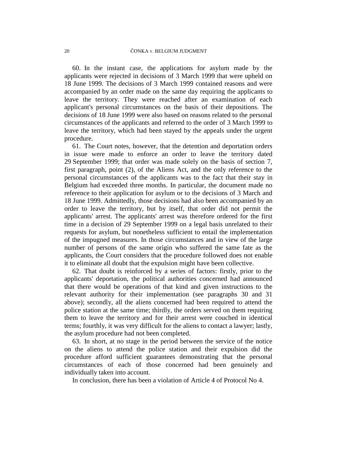60. In the instant case, the applications for asylum made by the applicants were rejected in decisions of 3 March 1999 that were upheld on 18 June 1999. The decisions of 3 March 1999 contained reasons and were accompanied by an order made on the same day requiring the applicants to leave the territory. They were reached after an examination of each applicant's personal circumstances on the basis of their depositions. The decisions of 18 June 1999 were also based on reasons related to the personal circumstances of the applicants and referred to the order of 3 March 1999 to leave the territory, which had been stayed by the appeals under the urgent procedure.

61. The Court notes, however, that the detention and deportation orders in issue were made to enforce an order to leave the territory dated 29 September 1999; that order was made solely on the basis of section 7, first paragraph, point (2), of the Aliens Act, and the only reference to the personal circumstances of the applicants was to the fact that their stay in Belgium had exceeded three months. In particular, the document made no reference to their application for asylum or to the decisions of 3 March and 18 June 1999. Admittedly, those decisions had also been accompanied by an order to leave the territory, but by itself, that order did not permit the applicants' arrest. The applicants' arrest was therefore ordered for the first time in a decision of 29 September 1999 on a legal basis unrelated to their requests for asylum, but nonetheless sufficient to entail the implementation of the impugned measures. In those circumstances and in view of the large number of persons of the same origin who suffered the same fate as the applicants, the Court considers that the procedure followed does not enable it to eliminate all doubt that the expulsion might have been collective.

62. That doubt is reinforced by a series of factors: firstly, prior to the applicants' deportation, the political authorities concerned had announced that there would be operations of that kind and given instructions to the relevant authority for their implementation (see paragraphs 30 and 31 above); secondly, all the aliens concerned had been required to attend the police station at the same time; thirdly, the orders served on them requiring them to leave the territory and for their arrest were couched in identical terms; fourthly, it was very difficult for the aliens to contact a lawyer; lastly, the asylum procedure had not been completed.

63. In short, at no stage in the period between the service of the notice on the aliens to attend the police station and their expulsion did the procedure afford sufficient guarantees demonstrating that the personal circumstances of each of those concerned had been genuinely and individually taken into account.

In conclusion, there has been a violation of Article 4 of Protocol No 4.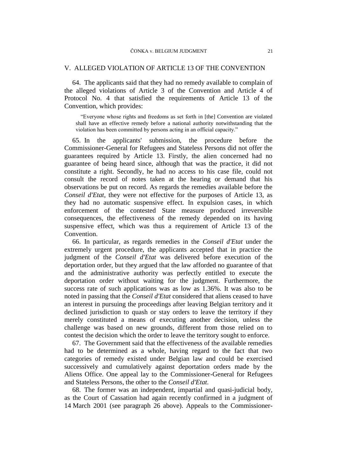## V. ALLEGED VIOLATION OF ARTICLE 13 OF THE CONVENTION

64. The applicants said that they had no remedy available to complain of the alleged violations of Article 3 of the Convention and Article 4 of Protocol No. 4 that satisfied the requirements of Article 13 of the Convention, which provides:

"Everyone whose rights and freedoms as set forth in [the] Convention are violated shall have an effective remedy before a national authority notwithstanding that the violation has been committed by persons acting in an official capacity."

65. In the applicants' submission, the procedure before the Commissioner-General for Refugees and Stateless Persons did not offer the guarantees required by Article 13. Firstly, the alien concerned had no guarantee of being heard since, although that was the practice, it did not constitute a right. Secondly, he had no access to his case file, could not consult the record of notes taken at the hearing or demand that his observations be put on record. As regards the remedies available before the *Conseil d'Etat*, they were not effective for the purposes of Article 13, as they had no automatic suspensive effect. In expulsion cases, in which enforcement of the contested State measure produced irreversible consequences, the effectiveness of the remedy depended on its having suspensive effect, which was thus a requirement of Article 13 of the Convention.

66. In particular, as regards remedies in the *Conseil d'Etat* under the extremely urgent procedure, the applicants accepted that in practice the judgment of the *Conseil d'Etat* was delivered before execution of the deportation order, but they argued that the law afforded no guarantee of that and the administrative authority was perfectly entitled to execute the deportation order without waiting for the judgment. Furthermore, the success rate of such applications was as low as 1.36%. It was also to be noted in passing that the *Conseil d'Etat* considered that aliens ceased to have an interest in pursuing the proceedings after leaving Belgian territory and it declined jurisdiction to quash or stay orders to leave the territory if they merely constituted a means of executing another decision, unless the challenge was based on new grounds, different from those relied on to contest the decision which the order to leave the territory sought to enforce.

67. The Government said that the effectiveness of the available remedies had to be determined as a whole, having regard to the fact that two categories of remedy existed under Belgian law and could be exercised successively and cumulatively against deportation orders made by the Aliens Office. One appeal lay to the Commissioner-General for Refugees and Stateless Persons, the other to the *Conseil d'Etat*.

68. The former was an independent, impartial and quasi-judicial body, as the Court of Cassation had again recently confirmed in a judgment of 14 March 2001 (see paragraph 26 above). Appeals to the Commissioner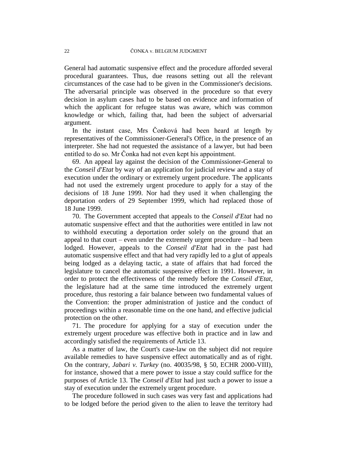General had automatic suspensive effect and the procedure afforded several procedural guarantees. Thus, due reasons setting out all the relevant circumstances of the case had to be given in the Commissioner's decisions. The adversarial principle was observed in the procedure so that every decision in asylum cases had to be based on evidence and information of which the applicant for refugee status was aware, which was common knowledge or which, failing that, had been the subject of adversarial argument.

In the instant case, Mrs Čonková had been heard at length by representatives of the Commissioner-General's Office, in the presence of an interpreter. She had not requested the assistance of a lawyer, but had been entitled to do so. Mr Čonka had not even kept his appointment.

69. An appeal lay against the decision of the Commissioner-General to the *Conseil d'Etat* by way of an application for judicial review and a stay of execution under the ordinary or extremely urgent procedure. The applicants had not used the extremely urgent procedure to apply for a stay of the decisions of 18 June 1999. Nor had they used it when challenging the deportation orders of 29 September 1999, which had replaced those of 18 June 1999.

70. The Government accepted that appeals to the *Conseil d'Etat* had no automatic suspensive effect and that the authorities were entitled in law not to withhold executing a deportation order solely on the ground that an appeal to that court – even under the extremely urgent procedure – had been lodged. However, appeals to the *Conseil d'Etat* had in the past had automatic suspensive effect and that had very rapidly led to a glut of appeals being lodged as a delaying tactic, a state of affairs that had forced the legislature to cancel the automatic suspensive effect in 1991. However, in order to protect the effectiveness of the remedy before the *Conseil d'Etat*, the legislature had at the same time introduced the extremely urgent procedure, thus restoring a fair balance between two fundamental values of the Convention: the proper administration of justice and the conduct of proceedings within a reasonable time on the one hand, and effective judicial protection on the other.

71. The procedure for applying for a stay of execution under the extremely urgent procedure was effective both in practice and in law and accordingly satisfied the requirements of Article 13.

As a matter of law, the Court's case-law on the subject did not require available remedies to have suspensive effect automatically and as of right. On the contrary, *Jabari v. Turkey* (no. 40035/98, § 50, ECHR 2000-VIII), for instance, showed that a mere power to issue a stay could suffice for the purposes of Article 13. The *Conseil d'Etat* had just such a power to issue a stay of execution under the extremely urgent procedure.

The procedure followed in such cases was very fast and applications had to be lodged before the period given to the alien to leave the territory had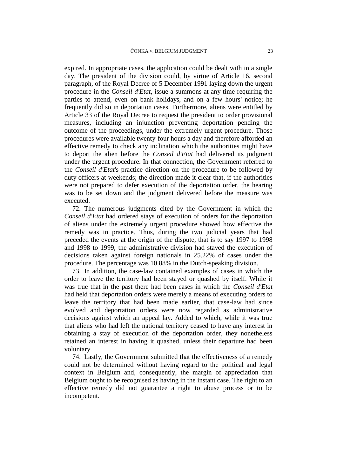expired. In appropriate cases, the application could be dealt with in a single day. The president of the division could, by virtue of Article 16, second paragraph, of the Royal Decree of 5 December 1991 laying down the urgent procedure in the *Conseil d'Etat*, issue a summons at any time requiring the parties to attend, even on bank holidays, and on a few hours' notice; he frequently did so in deportation cases. Furthermore, aliens were entitled by Article 33 of the Royal Decree to request the president to order provisional measures, including an injunction preventing deportation pending the outcome of the proceedings, under the extremely urgent procedure. Those procedures were available twenty-four hours a day and therefore afforded an effective remedy to check any inclination which the authorities might have to deport the alien before the *Conseil d'Etat* had delivered its judgment under the urgent procedure. In that connection, the Government referred to the *Conseil d'Etat*'s practice direction on the procedure to be followed by duty officers at weekends; the direction made it clear that, if the authorities were not prepared to defer execution of the deportation order, the hearing was to be set down and the judgment delivered before the measure was executed.

72. The numerous judgments cited by the Government in which the *Conseil d'Etat* had ordered stays of execution of orders for the deportation of aliens under the extremely urgent procedure showed how effective the remedy was in practice. Thus, during the two judicial years that had preceded the events at the origin of the dispute, that is to say 1997 to 1998 and 1998 to 1999, the administrative division had stayed the execution of decisions taken against foreign nationals in 25.22% of cases under the procedure. The percentage was 10.88% in the Dutch-speaking division.

73. In addition, the case-law contained examples of cases in which the order to leave the territory had been stayed or quashed by itself. While it was true that in the past there had been cases in which the *Conseil d'Etat* had held that deportation orders were merely a means of executing orders to leave the territory that had been made earlier, that case-law had since evolved and deportation orders were now regarded as administrative decisions against which an appeal lay. Added to which, while it was true that aliens who had left the national territory ceased to have any interest in obtaining a stay of execution of the deportation order, they nonetheless retained an interest in having it quashed, unless their departure had been voluntary.

74. Lastly, the Government submitted that the effectiveness of a remedy could not be determined without having regard to the political and legal context in Belgium and, consequently, the margin of appreciation that Belgium ought to be recognised as having in the instant case. The right to an effective remedy did not guarantee a right to abuse process or to be incompetent.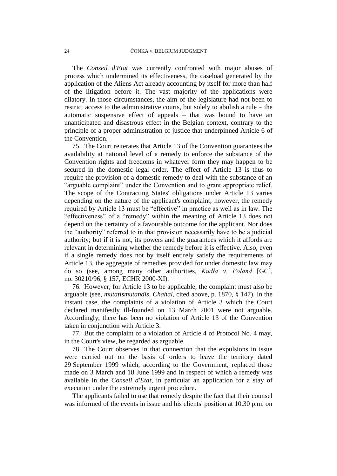The *Conseil d'Etat* was currently confronted with major abuses of process which undermined its effectiveness, the caseload generated by the application of the Aliens Act already accounting by itself for more than half of the litigation before it. The vast majority of the applications were dilatory. In those circumstances, the aim of the legislature had not been to restrict access to the administrative courts, but solely to abolish a rule – the automatic suspensive effect of appeals – that was bound to have an unanticipated and disastrous effect in the Belgian context, contrary to the principle of a proper administration of justice that underpinned Article 6 of the Convention.

75. The Court reiterates that Article 13 of the Convention guarantees the availability at national level of a remedy to enforce the substance of the Convention rights and freedoms in whatever form they may happen to be secured in the domestic legal order. The effect of Article 13 is thus to require the provision of a domestic remedy to deal with the substance of an "arguable complaint" under the Convention and to grant appropriate relief. The scope of the Contracting States' obligations under Article 13 varies depending on the nature of the applicant's complaint; however, the remedy required by Article 13 must be "effective" in practice as well as in law. The "effectiveness" of a "remedy" within the meaning of Article 13 does not depend on the certainty of a favourable outcome for the applicant. Nor does the "authority" referred to in that provision necessarily have to be a judicial authority; but if it is not, its powers and the guarantees which it affords are relevant in determining whether the remedy before it is effective. Also, even if a single remedy does not by itself entirely satisfy the requirements of Article 13, the aggregate of remedies provided for under domestic law may do so (see, among many other authorities, *Kudła v. Poland* [GC], no. 30210/96, § 157, ECHR 2000-XI).

76. However, for Article 13 to be applicable, the complaint must also be arguable (see, *mutatismutandis*, *Chahal*, cited above, p. 1870, § 147). In the instant case, the complaints of a violation of Article 3 which the Court declared manifestly ill-founded on 13 March 2001 were not arguable. Accordingly, there has been no violation of Article 13 of the Convention taken in conjunction with Article 3.

77. But the complaint of a violation of Article 4 of Protocol No. 4 may, in the Court's view, be regarded as arguable.

78. The Court observes in that connection that the expulsions in issue were carried out on the basis of orders to leave the territory dated 29 September 1999 which, according to the Government, replaced those made on 3 March and 18 June 1999 and in respect of which a remedy was available in the *Conseil d'Etat*, in particular an application for a stay of execution under the extremely urgent procedure.

The applicants failed to use that remedy despite the fact that their counsel was informed of the events in issue and his clients' position at 10.30 p.m. on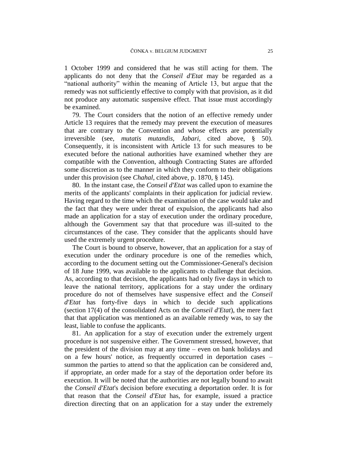1 October 1999 and considered that he was still acting for them. The applicants do not deny that the *Conseil d'Etat* may be regarded as a "national authority" within the meaning of Article 13, but argue that the remedy was not sufficiently effective to comply with that provision, as it did not produce any automatic suspensive effect. That issue must accordingly be examined.

79. The Court considers that the notion of an effective remedy under Article 13 requires that the remedy may prevent the execution of measures that are contrary to the Convention and whose effects are potentially irreversible (see, *mutatis mutandis*, *Jabari*, cited above, § 50). Consequently, it is inconsistent with Article 13 for such measures to be executed before the national authorities have examined whether they are compatible with the Convention, although Contracting States are afforded some discretion as to the manner in which they conform to their obligations under this provision (see *Chahal*, cited above, p. 1870, § 145).

80. In the instant case, the *Conseil d'Etat* was called upon to examine the merits of the applicants' complaints in their application for judicial review. Having regard to the time which the examination of the case would take and the fact that they were under threat of expulsion, the applicants had also made an application for a stay of execution under the ordinary procedure, although the Government say that that procedure was ill-suited to the circumstances of the case. They consider that the applicants should have used the extremely urgent procedure.

The Court is bound to observe, however, that an application for a stay of execution under the ordinary procedure is one of the remedies which, according to the document setting out the Commissioner-General's decision of 18 June 1999, was available to the applicants to challenge that decision. As, according to that decision, the applicants had only five days in which to leave the national territory, applications for a stay under the ordinary procedure do not of themselves have suspensive effect and the *Conseil d'Etat* has forty-five days in which to decide such applications (section 17(4) of the consolidated Acts on the *Conseil d'Etat*), the mere fact that that application was mentioned as an available remedy was, to say the least, liable to confuse the applicants.

81. An application for a stay of execution under the extremely urgent procedure is not suspensive either. The Government stressed, however, that the president of the division may at any time – even on bank holidays and on a few hours' notice, as frequently occurred in deportation cases – summon the parties to attend so that the application can be considered and, if appropriate, an order made for a stay of the deportation order before its execution. It will be noted that the authorities are not legally bound to await the *Conseil d'Etat*'s decision before executing a deportation order. It is for that reason that the *Conseil d'Etat* has, for example, issued a practice direction directing that on an application for a stay under the extremely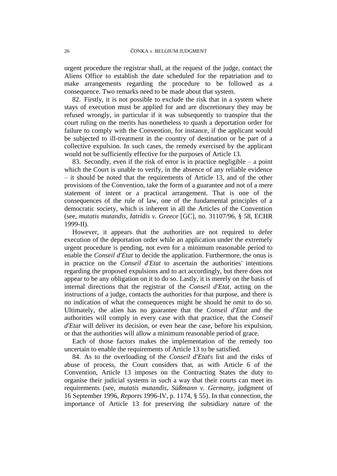urgent procedure the registrar shall, at the request of the judge, contact the Aliens Office to establish the date scheduled for the repatriation and to make arrangements regarding the procedure to be followed as a consequence. Two remarks need to be made about that system.

82. Firstly, it is not possible to exclude the risk that in a system where stays of execution must be applied for and are discretionary they may be refused wrongly, in particular if it was subsequently to transpire that the court ruling on the merits has nonetheless to quash a deportation order for failure to comply with the Convention, for instance, if the applicant would be subjected to ill-treatment in the country of destination or be part of a collective expulsion. In such cases, the remedy exercised by the applicant would not be sufficiently effective for the purposes of Article 13.

83. Secondly, even if the risk of error is in practice negligible – a point which the Court is unable to verify, in the absence of any reliable evidence – it should be noted that the requirements of Article 13, and of the other provisions of the Convention, take the form of a guarantee and not of a mere statement of intent or a practical arrangement. That is one of the consequences of the rule of law, one of the fundamental principles of a democratic society, which is inherent in all the Articles of the Convention (see, *mutatis mutandis*, *Iatridis v. Greece* [GC], no. 31107/96, § 58, ECHR 1999-II).

However, it appears that the authorities are not required to defer execution of the deportation order while an application under the extremely urgent procedure is pending, not even for a minimum reasonable period to enable the *Conseil d'Etat* to decide the application. Furthermore, the onus is in practice on the *Conseil d'Etat* to ascertain the authorities' intentions regarding the proposed expulsions and to act accordingly, but there does not appear to be any obligation on it to do so. Lastly, it is merely on the basis of internal directions that the registrar of the *Conseil d'Etat*, acting on the instructions of a judge, contacts the authorities for that purpose, and there is no indication of what the consequences might be should he omit to do so. Ultimately, the alien has no guarantee that the *Conseil d'Etat* and the authorities will comply in every case with that practice, that the *Conseil d'Etat* will deliver its decision, or even hear the case, before his expulsion, or that the authorities will allow a minimum reasonable period of grace.

Each of those factors makes the implementation of the remedy too uncertain to enable the requirements of Article 13 to be satisfied.

84. As to the overloading of the *Conseil d'Etat*'s list and the risks of abuse of process, the Court considers that, as with Article 6 of the Convention, Article 13 imposes on the Contracting States the duty to organise their judicial systems in such a way that their courts can meet its requirements (see, *mutatis mutandis*, *Süßmann v. Germany*, judgment of 16 September 1996, *Reports* 1996-IV, p. 1174, § 55). In that connection, the importance of Article 13 for preserving the subsidiary nature of the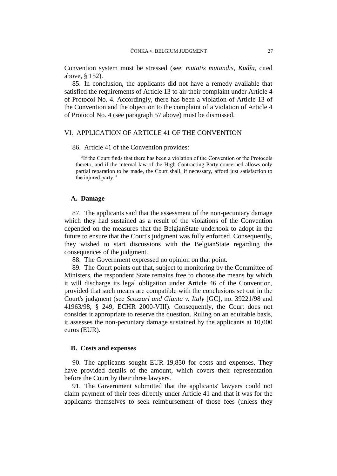Convention system must be stressed (see, *mutatis mutandis*, *Kudła*, cited above, § 152).

85. In conclusion, the applicants did not have a remedy available that satisfied the requirements of Article 13 to air their complaint under Article 4 of Protocol No. 4. Accordingly, there has been a violation of Article 13 of the Convention and the objection to the complaint of a violation of Article 4 of Protocol No. 4 (see paragraph 57 above) must be dismissed.

## VI. APPLICATION OF ARTICLE 41 OF THE CONVENTION

## 86. Article 41 of the Convention provides:

"If the Court finds that there has been a violation of the Convention or the Protocols thereto, and if the internal law of the High Contracting Party concerned allows only partial reparation to be made, the Court shall, if necessary, afford just satisfaction to the injured party."

#### **A. Damage**

87. The applicants said that the assessment of the non-pecuniary damage which they had sustained as a result of the violations of the Convention depended on the measures that the BelgianState undertook to adopt in the future to ensure that the Court's judgment was fully enforced. Consequently, they wished to start discussions with the BelgianState regarding the consequences of the judgment.

88. The Government expressed no opinion on that point.

89. The Court points out that, subject to monitoring by the Committee of Ministers, the respondent State remains free to choose the means by which it will discharge its legal obligation under Article 46 of the Convention, provided that such means are compatible with the conclusions set out in the Court's judgment (see *Scozzari and Giunta v. Italy* [GC], no. 39221/98 and 41963/98, § 249, ECHR 2000-VIII). Consequently, the Court does not consider it appropriate to reserve the question. Ruling on an equitable basis, it assesses the non-pecuniary damage sustained by the applicants at 10,000 euros (EUR).

### **B. Costs and expenses**

90. The applicants sought EUR 19,850 for costs and expenses. They have provided details of the amount, which covers their representation before the Court by their three lawyers.

91. The Government submitted that the applicants' lawyers could not claim payment of their fees directly under Article 41 and that it was for the applicants themselves to seek reimbursement of those fees (unless they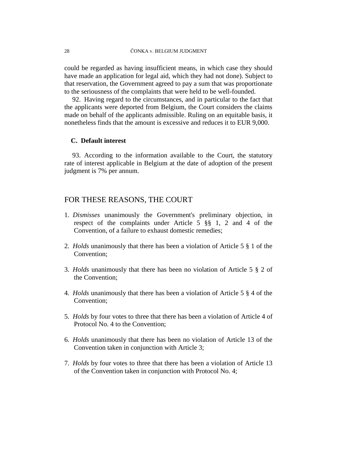could be regarded as having insufficient means, in which case they should have made an application for legal aid, which they had not done). Subject to that reservation, the Government agreed to pay a sum that was proportionate to the seriousness of the complaints that were held to be well-founded.

92. Having regard to the circumstances, and in particular to the fact that the applicants were deported from Belgium, the Court considers the claims made on behalf of the applicants admissible. Ruling on an equitable basis, it nonetheless finds that the amount is excessive and reduces it to EUR 9,000.

## **C. Default interest**

93. According to the information available to the Court, the statutory rate of interest applicable in Belgium at the date of adoption of the present judgment is 7% per annum.

## FOR THESE REASONS, THE COURT

- 1. *Dismisses* unanimously the Government's preliminary objection, in respect of the complaints under Article 5 §§ 1, 2 and 4 of the Convention, of a failure to exhaust domestic remedies;
- 2. *Holds* unanimously that there has been a violation of Article 5 § 1 of the Convention;
- 3. *Holds* unanimously that there has been no violation of Article 5 § 2 of the Convention;
- 4. *Holds* unanimously that there has been a violation of Article 5 § 4 of the Convention;
- 5. *Holds* by four votes to three that there has been a violation of Article 4 of Protocol No. 4 to the Convention;
- 6. *Holds* unanimously that there has been no violation of Article 13 of the Convention taken in conjunction with Article 3;
- 7. *Holds* by four votes to three that there has been a violation of Article 13 of the Convention taken in conjunction with Protocol No. 4;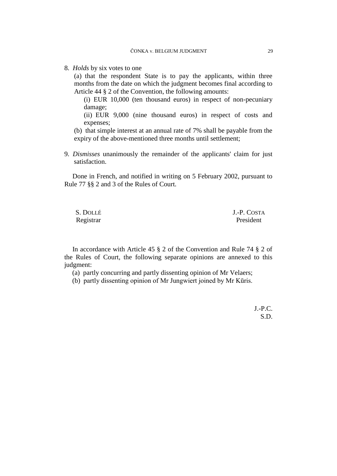8. *Holds* by six votes to one

(a) that the respondent State is to pay the applicants, within three months from the date on which the judgment becomes final according to Article 44 § 2 of the Convention, the following amounts:

(i) EUR 10,000 (ten thousand euros) in respect of non-pecuniary damage;

(ii) EUR 9,000 (nine thousand euros) in respect of costs and expenses;

(b) that simple interest at an annual rate of 7% shall be payable from the expiry of the above-mentioned three months until settlement;

9. *Dismisses* unanimously the remainder of the applicants' claim for just satisfaction.

Done in French, and notified in writing on 5 February 2002, pursuant to Rule 77 §§ 2 and 3 of the Rules of Court.

| S. Dollé  | J.-P. COSTA |
|-----------|-------------|
| Registrar | President   |

In accordance with Article 45 § 2 of the Convention and Rule 74 § 2 of the Rules of Court, the following separate opinions are annexed to this judgment:

(a) partly concurring and partly dissenting opinion of Mr Velaers;

(b) partly dissenting opinion of Mr Jungwiert joined by Mr Kūris.

J.-P.C. S.D.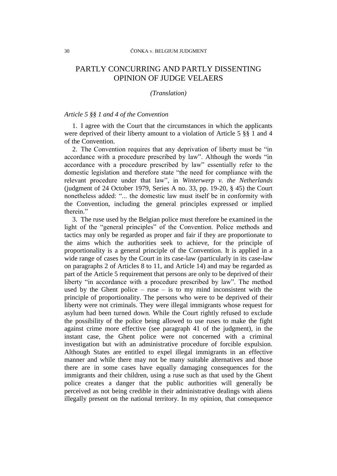## PARTLY CONCURRING AND PARTLY DISSENTING OPINION OF JUDGE VELAERS

## *(Translation)*

## *Article 5 §§ 1 and 4 of the Convention*

1. I agree with the Court that the circumstances in which the applicants were deprived of their liberty amount to a violation of Article 5  $\frac{8}{9}$  and 4 of the Convention.

2. The Convention requires that any deprivation of liberty must be "in accordance with a procedure prescribed by law". Although the words "in accordance with a procedure prescribed by law" essentially refer to the domestic legislation and therefore state "the need for compliance with the relevant procedure under that law", in *Winterwerp v. the Netherlands* (judgment of 24 October 1979, Series A no. 33, pp. 19-20, § 45) the Court nonetheless added: "... the domestic law must itself be in conformity with the Convention, including the general principles expressed or implied therein"

3. The ruse used by the Belgian police must therefore be examined in the light of the "general principles" of the Convention. Police methods and tactics may only be regarded as proper and fair if they are proportionate to the aims which the authorities seek to achieve, for the principle of proportionality is a general principle of the Convention. It is applied in a wide range of cases by the Court in its case-law (particularly in its case-law on paragraphs 2 of Articles 8 to 11, and Article 14) and may be regarded as part of the Article 5 requirement that persons are only to be deprived of their liberty "in accordance with a procedure prescribed by law". The method used by the Ghent police – ruse – is to my mind inconsistent with the principle of proportionality. The persons who were to be deprived of their liberty were not criminals. They were illegal immigrants whose request for asylum had been turned down. While the Court rightly refused to exclude the possibility of the police being allowed to use ruses to make the fight against crime more effective (see paragraph 41 of the judgment), in the instant case, the Ghent police were not concerned with a criminal investigation but with an administrative procedure of forcible expulsion. Although States are entitled to expel illegal immigrants in an effective manner and while there may not be many suitable alternatives and those there are in some cases have equally damaging consequences for the immigrants and their children, using a ruse such as that used by the Ghent police creates a danger that the public authorities will generally be perceived as not being credible in their administrative dealings with aliens illegally present on the national territory. In my opinion, that consequence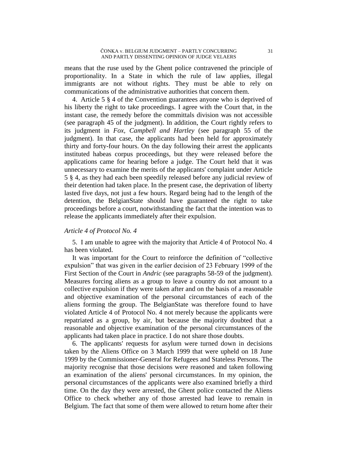means that the ruse used by the Ghent police contravened the principle of proportionality. In a State in which the rule of law applies, illegal immigrants are not without rights. They must be able to rely on communications of the administrative authorities that concern them.

4. Article 5 § 4 of the Convention guarantees anyone who is deprived of his liberty the right to take proceedings. I agree with the Court that, in the instant case, the remedy before the committals division was not accessible (see paragraph 45 of the judgment). In addition, the Court rightly refers to its judgment in *Fox, Campbell and Hartley* (see paragraph 55 of the judgment). In that case, the applicants had been held for approximately thirty and forty-four hours. On the day following their arrest the applicants instituted habeas corpus proceedings, but they were released before the applications came for hearing before a judge. The Court held that it was unnecessary to examine the merits of the applicants' complaint under Article 5 § 4, as they had each been speedily released before any judicial review of their detention had taken place. In the present case, the deprivation of liberty lasted five days, not just a few hours. Regard being had to the length of the detention, the BelgianState should have guaranteed the right to take proceedings before a court, notwithstanding the fact that the intention was to release the applicants immediately after their expulsion.

## *Article 4 of Protocol No. 4*

5. I am unable to agree with the majority that Article 4 of Protocol No. 4 has been violated.

It was important for the Court to reinforce the definition of "collective expulsion" that was given in the earlier decision of 23 February 1999 of the First Section of the Court in *Andric* (see paragraphs 58-59 of the judgment). Measures forcing aliens as a group to leave a country do not amount to a collective expulsion if they were taken after and on the basis of a reasonable and objective examination of the personal circumstances of each of the aliens forming the group. The BelgianState was therefore found to have violated Article 4 of Protocol No. 4 not merely because the applicants were repatriated as a group, by air, but because the majority doubted that a reasonable and objective examination of the personal circumstances of the applicants had taken place in practice. I do not share those doubts.

6. The applicants' requests for asylum were turned down in decisions taken by the Aliens Office on 3 March 1999 that were upheld on 18 June 1999 by the Commissioner-General for Refugees and Stateless Persons. The majority recognise that those decisions were reasoned and taken following an examination of the aliens' personal circumstances. In my opinion, the personal circumstances of the applicants were also examined briefly a third time. On the day they were arrested, the Ghent police contacted the Aliens Office to check whether any of those arrested had leave to remain in Belgium. The fact that some of them were allowed to return home after their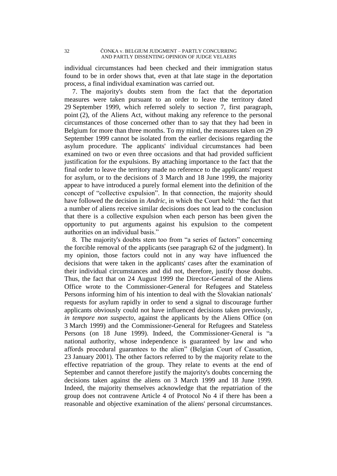individual circumstances had been checked and their immigration status found to be in order shows that, even at that late stage in the deportation process, a final individual examination was carried out.

7. The majority's doubts stem from the fact that the deportation measures were taken pursuant to an order to leave the territory dated 29 September 1999, which referred solely to section 7, first paragraph, point (2), of the Aliens Act, without making any reference to the personal circumstances of those concerned other than to say that they had been in Belgium for more than three months. To my mind, the measures taken on 29 September 1999 cannot be isolated from the earlier decisions regarding the asylum procedure. The applicants' individual circumstances had been examined on two or even three occasions and that had provided sufficient justification for the expulsions. By attaching importance to the fact that the final order to leave the territory made no reference to the applicants' request for asylum, or to the decisions of 3 March and 18 June 1999, the majority appear to have introduced a purely formal element into the definition of the concept of "collective expulsion". In that connection, the majority should have followed the decision in *Andric*, in which the Court held: "the fact that a number of aliens receive similar decisions does not lead to the conclusion that there is a collective expulsion when each person has been given the opportunity to put arguments against his expulsion to the competent authorities on an individual basis."

8. The majority's doubts stem too from "a series of factors" concerning the forcible removal of the applicants (see paragraph 62 of the judgment). In my opinion, those factors could not in any way have influenced the decisions that were taken in the applicants' cases after the examination of their individual circumstances and did not, therefore, justify those doubts. Thus, the fact that on 24 August 1999 the Director-General of the Aliens Office wrote to the Commissioner-General for Refugees and Stateless Persons informing him of his intention to deal with the Slovakian nationals' requests for asylum rapidly in order to send a signal to discourage further applicants obviously could not have influenced decisions taken previously, *in tempore non suspecto*, against the applicants by the Aliens Office (on 3 March 1999) and the Commissioner-General for Refugees and Stateless Persons (on 18 June 1999). Indeed, the Commissioner-General is "a national authority, whose independence is guaranteed by law and who affords procedural guarantees to the alien" (Belgian Court of Cassation, 23 January 2001). The other factors referred to by the majority relate to the effective repatriation of the group. They relate to events at the end of September and cannot therefore justify the majority's doubts concerning the decisions taken against the aliens on 3 March 1999 and 18 June 1999. Indeed, the majority themselves acknowledge that the repatriation of the group does not contravene Article 4 of Protocol No 4 if there has been a reasonable and objective examination of the aliens' personal circumstances.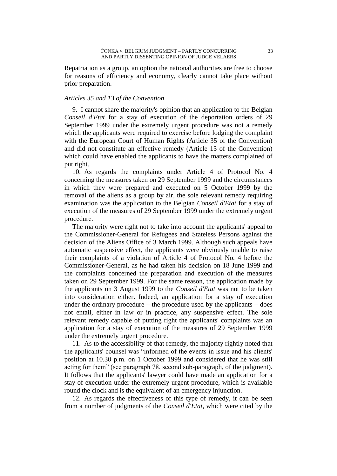Repatriation as a group, an option the national authorities are free to choose for reasons of efficiency and economy, clearly cannot take place without prior preparation.

## *Articles 35 and 13 of the Convention*

9. I cannot share the majority's opinion that an application to the Belgian *Conseil d'Etat* for a stay of execution of the deportation orders of 29 September 1999 under the extremely urgent procedure was not a remedy which the applicants were required to exercise before lodging the complaint with the European Court of Human Rights (Article 35 of the Convention) and did not constitute an effective remedy (Article 13 of the Convention) which could have enabled the applicants to have the matters complained of put right.

10. As regards the complaints under Article 4 of Protocol No. 4 concerning the measures taken on 29 September 1999 and the circumstances in which they were prepared and executed on 5 October 1999 by the removal of the aliens as a group by air, the sole relevant remedy requiring examination was the application to the Belgian *Conseil d'Etat* for a stay of execution of the measures of 29 September 1999 under the extremely urgent procedure.

The majority were right not to take into account the applicants' appeal to the Commissioner-General for Refugees and Stateless Persons against the decision of the Aliens Office of 3 March 1999. Although such appeals have automatic suspensive effect, the applicants were obviously unable to raise their complaints of a violation of Article 4 of Protocol No. 4 before the Commissioner-General, as he had taken his decision on 18 June 1999 and the complaints concerned the preparation and execution of the measures taken on 29 September 1999. For the same reason, the application made by the applicants on 3 August 1999 to the *Conseil d'Etat* was not to be taken into consideration either. Indeed, an application for a stay of execution under the ordinary procedure – the procedure used by the applicants – does not entail, either in law or in practice, any suspensive effect. The sole relevant remedy capable of putting right the applicants' complaints was an application for a stay of execution of the measures of 29 September 1999 under the extremely urgent procedure.

11. As to the accessibility of that remedy, the majority rightly noted that the applicants' counsel was "informed of the events in issue and his clients' position at 10.30 p.m. on 1 October 1999 and considered that he was still acting for them" (see paragraph 78, second sub-paragraph, of the judgment). It follows that the applicants' lawyer could have made an application for a stay of execution under the extremely urgent procedure, which is available round the clock and is the equivalent of an emergency injunction.

12. As regards the effectiveness of this type of remedy, it can be seen from a number of judgments of the *Conseil d'Etat*, which were cited by the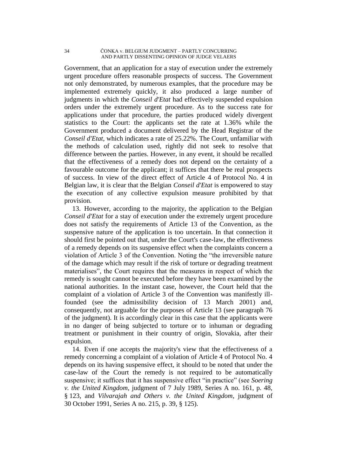#### 34 ČONKA v. BELGIUM JUDGMENT – PARTLY CONCURRING AND PARTLY DISSENTING OPINION OF JUDGE VELAERS

Government, that an application for a stay of execution under the extremely urgent procedure offers reasonable prospects of success. The Government not only demonstrated, by numerous examples, that the procedure may be implemented extremely quickly, it also produced a large number of judgments in which the *Conseil d'Etat* had effectively suspended expulsion orders under the extremely urgent procedure. As to the success rate for applications under that procedure, the parties produced widely divergent statistics to the Court: the applicants set the rate at 1.36% while the Government produced a document delivered by the Head Registrar of the *Conseil d'Etat*, which indicates a rate of 25.22%. The Court, unfamiliar with the methods of calculation used, rightly did not seek to resolve that difference between the parties. However, in any event, it should be recalled that the effectiveness of a remedy does not depend on the certainty of a favourable outcome for the applicant; it suffices that there be real prospects of success. In view of the direct effect of Article 4 of Protocol No. 4 in Belgian law, it is clear that the Belgian *Conseil d'Etat* is empowered to stay the execution of any collective expulsion measure prohibited by that provision.

13. However, according to the majority, the application to the Belgian *Conseil d'Etat* for a stay of execution under the extremely urgent procedure does not satisfy the requirements of Article 13 of the Convention, as the suspensive nature of the application is too uncertain. In that connection it should first be pointed out that, under the Court's case-law, the effectiveness of a remedy depends on its suspensive effect when the complaints concern a violation of Article 3 of the Convention. Noting the "the irreversible nature of the damage which may result if the risk of torture or degrading treatment materialises", the Court requires that the measures in respect of which the remedy is sought cannot be executed before they have been examined by the national authorities. In the instant case, however, the Court held that the complaint of a violation of Article 3 of the Convention was manifestly illfounded (see the admissibility decision of 13 March 2001) and, consequently, not arguable for the purposes of Article 13 (see paragraph 76 of the judgment). It is accordingly clear in this case that the applicants were in no danger of being subjected to torture or to inhuman or degrading treatment or punishment in their country of origin, Slovakia, after their expulsion.

14. Even if one accepts the majority's view that the effectiveness of a remedy concerning a complaint of a violation of Article 4 of Protocol No. 4 depends on its having suspensive effect, it should to be noted that under the case-law of the Court the remedy is not required to be automatically suspensive; it suffices that it has suspensive effect "in practice" (see *Soering v. the United Kingdom*, judgment of 7 July 1989, Series A no. 161, p. 48, § 123, and *Vilvarajah and Others v. the United Kingdom*, judgment of 30 October 1991, Series A no. 215, p. 39, § 125).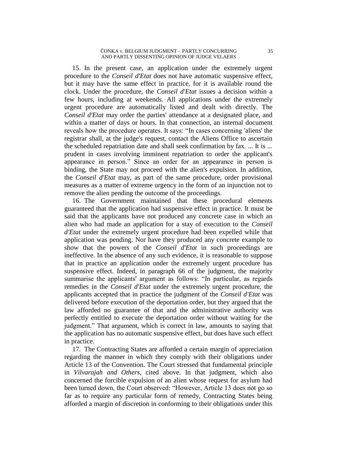#### ČONKA v. BELGIUM JUDGMENT – PARTLY CONCURRING 35 AND PARTLY DISSENTING OPINION OF JUDGE VELAERS

15. In the present case, an application under the extremely urgent procedure to the *Conseil d'Etat* does not have automatic suspensive effect, but it may have the same effect in practice, for it is available round the clock. Under the procedure, the *Conseil d'Etat* issues a decision within a few hours, including at weekends. All applications under the extremely urgent procedure are automatically listed and dealt with directly. The *Conseil d'Etat* may order the parties' attendance at a designated place, and within a matter of days or hours. In that connection, an internal document reveals how the procedure operates. It says: "In cases concerning 'aliens' the registrar shall, at the judge's request, contact the Aliens Office to ascertain the scheduled repatriation date and shall seek confirmation by fax. ... It is ... prudent in cases involving imminent repatriation to order the applicant's appearance in person." Since an order for an appearance in person is binding, the State may not proceed with the alien's expulsion. In addition, the *Conseil d'Etat* may, as part of the same procedure, order provisional measures as a matter of extreme urgency in the form of an injunction not to remove the alien pending the outcome of the proceedings.

16. The Government maintained that these procedural elements guaranteed that the application had suspensive effect in practice. It must be said that the applicants have not produced any concrete case in which an alien who had made an application for a stay of execution to the *Conseil d'Etat* under the extremely urgent procedure had been expelled while that application was pending. Nor have they produced any concrete example to show that the powers of the *Conseil d'Etat* in such proceedings are ineffective. In the absence of any such evidence, it is reasonable to suppose that in practice an application under the extremely urgent procedure has suspensive effect. Indeed, in paragraph 66 of the judgment, the majority summarise the applicants' argument as follows: "In particular, as regards remedies in the *Conseil d'Etat* under the extremely urgent procedure, the applicants accepted that in practice the judgment of the *Conseil d'Etat* was delivered before execution of the deportation order, but they argued that the law afforded no guarantee of that and the administrative authority was perfectly entitled to execute the deportation order without waiting for the judgment." That argument, which is correct in law, amounts to saying that the application has no automatic suspensive effect, but does have such effect in practice.

17. The Contracting States are afforded a certain margin of appreciation regarding the manner in which they comply with their obligations under Article 13 of the Convention. The Court stressed that fundamental principle in *Vilvarajah and Others*, cited above. In that judgment, which also concerned the forcible expulsion of an alien whose request for asylum had been turned down, the Court observed: "However, Article 13 does not go so far as to require any particular form of remedy, Contracting States being afforded a margin of discretion in conforming to their obligations under this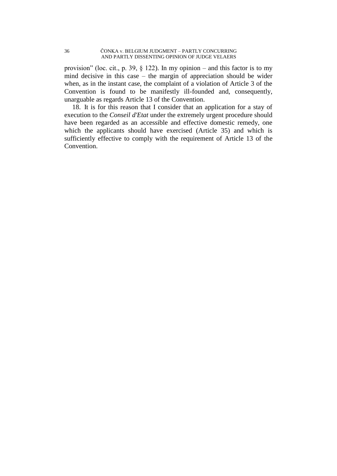provision" (loc. cit., p. 39,  $\S$  122). In my opinion – and this factor is to my mind decisive in this case – the margin of appreciation should be wider when, as in the instant case, the complaint of a violation of Article 3 of the Convention is found to be manifestly ill-founded and, consequently, unarguable as regards Article 13 of the Convention.

18. It is for this reason that I consider that an application for a stay of execution to the *Conseil d'Etat* under the extremely urgent procedure should have been regarded as an accessible and effective domestic remedy, one which the applicants should have exercised (Article 35) and which is sufficiently effective to comply with the requirement of Article 13 of the Convention.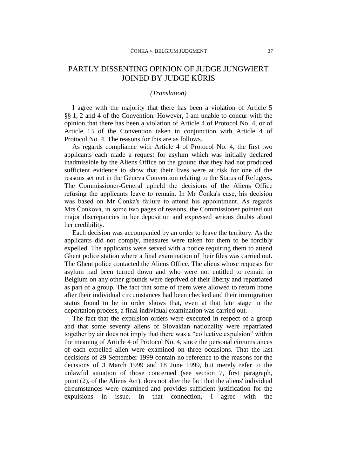## PARTLY DISSENTING OPINION OF JUDGE JUNGWIERT JOINED BY JUDGE KŪRIS

## *(Translation)*

I agree with the majority that there has been a violation of Article 5 §§ 1, 2 and 4 of the Convention. However, I am unable to concur with the opinion that there has been a violation of Article 4 of Protocol No. 4, or of Article 13 of the Convention taken in conjunction with Article 4 of Protocol No. 4. The reasons for this are as follows.

As regards compliance with Article 4 of Protocol No. 4, the first two applicants each made a request for asylum which was initially declared inadmissible by the Aliens Office on the ground that they had not produced sufficient evidence to show that their lives were at risk for one of the reasons set out in the Geneva Convention relating to the Status of Refugees. The Commissioner-General upheld the decisions of the Aliens Office refusing the applicants leave to remain. In Mr Čonka's case, his decision was based on Mr Čonka's failure to attend his appointment. As regards Mrs Čonková, in some two pages of reasons, the Commissioner pointed out major discrepancies in her deposition and expressed serious doubts about her credibility.

Each decision was accompanied by an order to leave the territory. As the applicants did not comply, measures were taken for them to be forcibly expelled. The applicants were served with a notice requiring them to attend Ghent police station where a final examination of their files was carried out. The Ghent police contacted the Aliens Office. The aliens whose requests for asylum had been turned down and who were not entitled to remain in Belgium on any other grounds were deprived of their liberty and repatriated as part of a group. The fact that some of them were allowed to return home after their individual circumstances had been checked and their immigration status found to be in order shows that, even at that late stage in the deportation process, a final individual examination was carried out.

The fact that the expulsion orders were executed in respect of a group and that some seventy aliens of Slovakian nationality were repatriated together by air does not imply that there was a "collective expulsion" within the meaning of Article 4 of Protocol No. 4, since the personal circumstances of each expelled alien were examined on three occasions. That the last decisions of 29 September 1999 contain no reference to the reasons for the decisions of 3 March 1999 and 18 June 1999, but merely refer to the unlawful situation of those concerned (see section 7, first paragraph, point (2), of the Aliens Act), does not alter the fact that the aliens' individual circumstances were examined and provides sufficient justification for the expulsions in issue. In that connection, I agree with the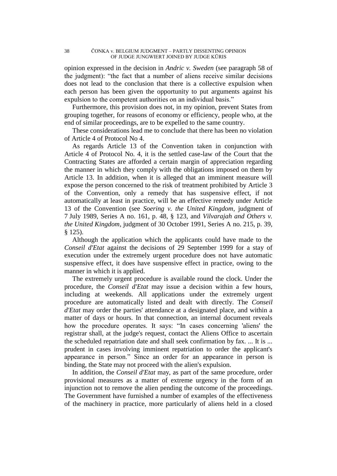opinion expressed in the decision in *Andric v. Sweden* (see paragraph 58 of the judgment): "the fact that a number of aliens receive similar decisions does not lead to the conclusion that there is a collective expulsion when each person has been given the opportunity to put arguments against his expulsion to the competent authorities on an individual basis."

Furthermore, this provision does not, in my opinion, prevent States from grouping together, for reasons of economy or efficiency, people who, at the end of similar proceedings, are to be expelled to the same country.

These considerations lead me to conclude that there has been no violation of Article 4 of Protocol No 4.

As regards Article 13 of the Convention taken in conjunction with Article 4 of Protocol No. 4, it is the settled case-law of the Court that the Contracting States are afforded a certain margin of appreciation regarding the manner in which they comply with the obligations imposed on them by Article 13. In addition, when it is alleged that an imminent measure will expose the person concerned to the risk of treatment prohibited by Article 3 of the Convention, only a remedy that has suspensive effect, if not automatically at least in practice, will be an effective remedy under Article 13 of the Convention (see *Soering v. the United Kingdom*, judgment of 7 July 1989, Series A no. 161, p. 48, § 123, and *Vilvarajah and Others v. the United Kingdom*, judgment of 30 October 1991, Series A no. 215, p. 39, § 125).

Although the application which the applicants could have made to the *Conseil d'Etat* against the decisions of 29 September 1999 for a stay of execution under the extremely urgent procedure does not have automatic suspensive effect, it does have suspensive effect in practice, owing to the manner in which it is applied.

The extremely urgent procedure is available round the clock. Under the procedure, the *Conseil d'Etat* may issue a decision within a few hours, including at weekends. All applications under the extremely urgent procedure are automatically listed and dealt with directly. The *Conseil d'Etat* may order the parties' attendance at a designated place, and within a matter of days or hours. In that connection, an internal document reveals how the procedure operates. It says: "In cases concerning 'aliens' the registrar shall, at the judge's request, contact the Aliens Office to ascertain the scheduled repatriation date and shall seek confirmation by fax. ... It is ... prudent in cases involving imminent repatriation to order the applicant's appearance in person." Since an order for an appearance in person is binding, the State may not proceed with the alien's expulsion.

In addition, the *Conseil d'Etat* may, as part of the same procedure, order provisional measures as a matter of extreme urgency in the form of an injunction not to remove the alien pending the outcome of the proceedings. The Government have furnished a number of examples of the effectiveness of the machinery in practice, more particularly of aliens held in a closed